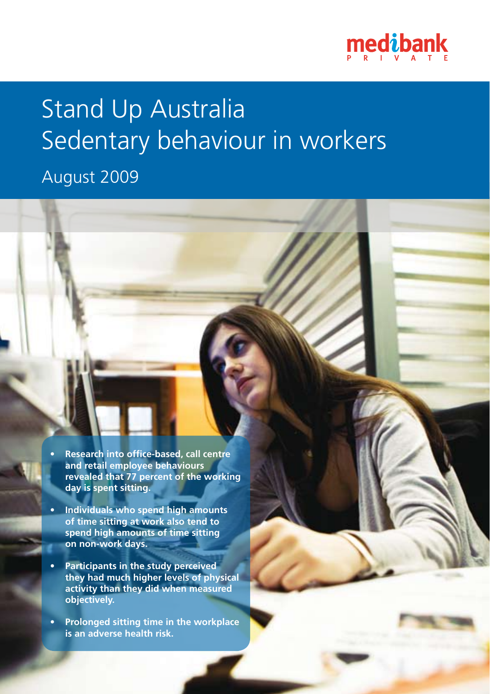

# Stand Up Australia Sedentary behaviour in workers

### August 2009

- **• Research into office-based, call centre and retail employee behaviours revealed that 77 percent of the working day is spent sitting.**
- **• Individuals who spend high amounts of time sitting at work also tend to spend high amounts of time sitting on non-work days.**
- **• Participants in the study perceived they had much higher levels of physical activity than they did when measured objectively.**
- **• Prolonged sitting time in the workplace is an adverse health risk.**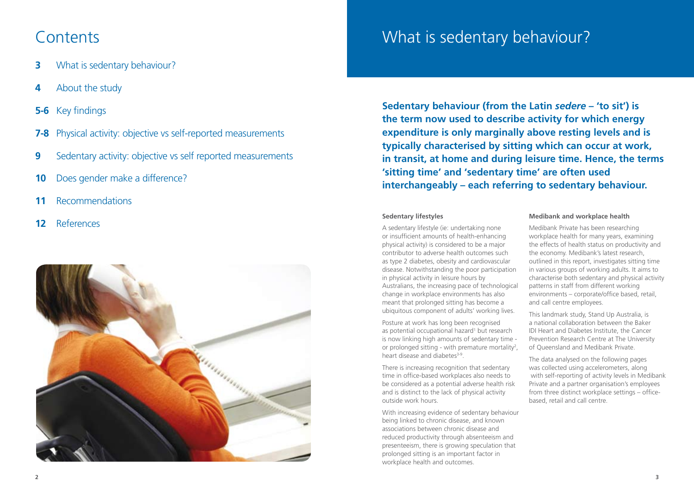### **Contents**

- **3** What is sedentary behaviour?
- **4** About the study
- **5-6** Key findings
- **7-8** Physical activity: objective vs self-reported measurements
- **9** Sedentary activity: objective vs self reported measurements
- **10** Does gender make a difference?
- **11** Recommendations
- **12** References



## What is sedentary behaviour What is sedentary behaviour?

**Sedentary behaviour (from the Latin** *sedere* **– 'to sit') is the term now used to describe activity for which energy expenditure is only marginally above resting levels and is typically characterised by sitting which can occur at work, in transit, at home and during leisure time. Hence, the terms 'sitting time' and 'sedentary time' are often used interchangeably – each referring to sedentary behaviour.**

#### **Sedentary lifestyles**

A sedentary lifestyle (ie: undertaking none or insufficient amounts of health-enhancing physical activity) is considered to be a major contributor to adverse health outcomes such as type 2 diabetes, obesity and cardiovascular disease. Notwithstanding the poor participation in physical activity in leisure hours by Australians, the increasing pace of technological change in workplace environments has also meant that prolonged sitting has become a ubiquitous component of adults' working lives.

Posture at work has long been recognised as potential occupational hazard<sup>1</sup> but research is now linking high amounts of sedentary time or prolonged sitting - with premature mortality<sup>2</sup>, heart disease and diabetes<sup>3-9</sup>

There is increasing recognition that sedentary time in office-based workplaces also needs to be considered as a potential adverse health risk and is distinct to the lack of physical activity outside work hours.

With increasing evidence of sedentary behaviour being linked to chronic disease, and known associations between chronic disease and reduced productivity through absenteeism and presenteeism, there is growing speculation that prolonged sitting is an important factor in workplace health and outcomes.

#### **Medibank and workplace health**

Medibank Private has been researching workplace health for many years, examining the effects of health status on productivity and the economy. Medibank's latest research, outlined in this report, investigates sitting time in various groups of working adults. It aims to characterise both sedentary and physical activity patterns in staff from different working environments – corporate/office based, retail, and call centre employees.

This landmark study, Stand Up Australia, is a national collaboration between the Baker IDI Heart and Diabetes Institute, the Cancer Prevention Research Centre at The University of Queensland and Medibank Private.

The data analysed on the following pages was collected using accelerometers, along with self-reporting of activity levels in Medibank Private and a partner organisation's employees from three distinct workplace settings – officebased, retail and call centre.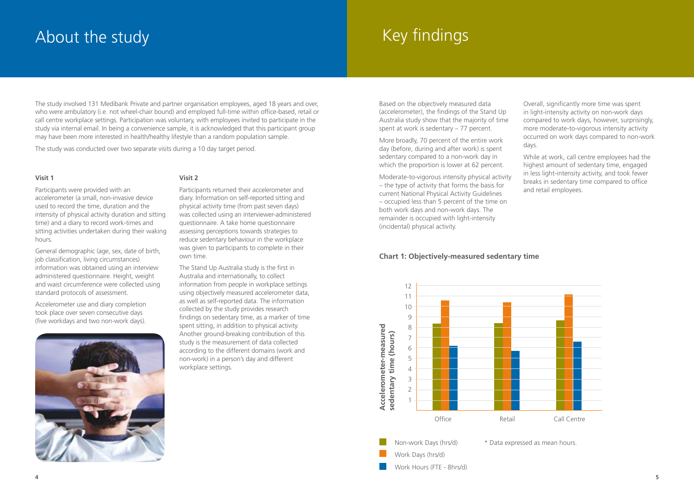## About the study

## Key findings

The study involved 131 Medibank Private and partner organisation employees, aged 18 years and over, who were ambulatory (i.e. not wheel-chair bound) and employed full-time within office-based, retail or call centre workplace settings. Participation was voluntary, with employees invited to participate in the study via internal email. In being a convenience sample, it is acknowledged that this participant group may have been more interested in health/healthy lifestyle than a random population sample.

The study was conducted over two separate visits during a 10 day target period.

#### **Visit 1**

Participants were provided with an accelerometer (a small, non-invasive device used to record the time, duration and the intensity of physical activity duration and sitting time) and a diary to record work-times and sitting activities undertaken during their waking hours.

General demographic (age, sex, date of birth, job classification, living circumstances) information was obtained using an interview administered questionnaire. Height, weight and waist circumference were collected using standard protocols of assessment.

Accelerometer use and diary completion took place over seven consecutive days (five workdays and two non-work days).



#### **Visit 2**

Participants returned their accelerometer and diary. Information on self-reported sitting and physical activity time (from past seven days) was collected using an interviewer-administered questionnaire. A take home questionnaire assessing perceptions towards strategies to reduce sedentary behaviour in the workplace was given to participants to complete in their own time.

The Stand Up Australia study is the first in Australia and internationally, to collect information from people in workplace settings using objectively measured accelerometer data, as well as self-reported data. The information collected by the study provides research findings on sedentary time, as a marker of time spent sitting, in addition to physical activity. Another ground-breaking contribution of this study is the measurement of data collected according to the different domains (work and non-work) in a person's day and different workplace settings.

Based on the objectively measured data (accelerometer), the findings of the Stand Up Australia study show that the majority of time spent at work is sedentary – 77 percent.

More broadly, 70 percent of the entire work day (before, during and after work) is spent sedentary compared to a non-work day in which the proportion is lower at 62 percent.

Moderate-to-vigorous intensity physical activity – the type of activity that forms the basis for current National Physical Activity Guidelines – occupied less than 5 percent of the time on both work days and non-work days. The remainder is occupied with light-intensity (incidental) physical activity.

#### **Chart 1: Objectively-measured sedentary time**



Overall, significantly more time was spent in light-intensity activity on non-work days compared to work days, however, surprisingly, more moderate-to-vigorous intensity activity occurred on work days compared to non-work days.

While at work, call centre employees had the highest amount of sedentary time, engaged in less light-intensity activity, and took fewer breaks in sedentary time compared to office and retail employees.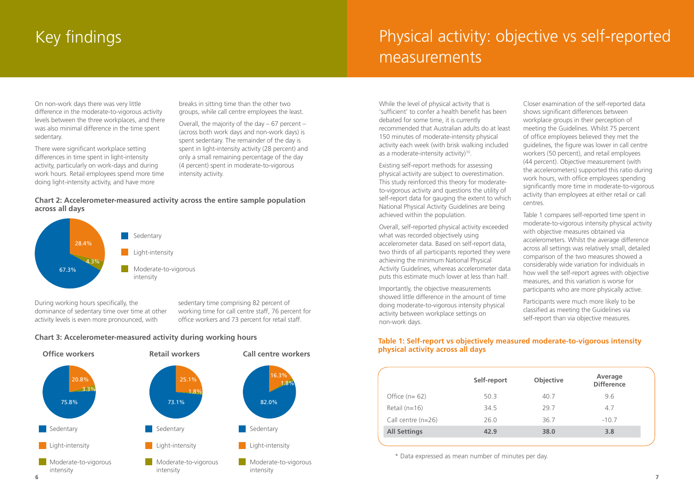## Key findings

## Physical activity: objective vs self-reported measurements

On non-work days there was very little difference in the moderate-to-vigorous activity levels between the three workplaces, and there was also minimal difference in the time spent sedentary.

There were significant workplace setting differences in time spent in light-intensity activity, particularly on work-days and during work hours. Retail employees spend more time doing light-intensity activity, and have more

breaks in sitting time than the other two groups, while call centre employees the least.

Overall, the majority of the day – 67 percent – (across both work days and non-work days) is spent sedentary. The remainder of the day is spent in light-intensity activity (28 percent) and only a small remaining percentage of the day (4 percent) spent in moderate-to-vigorous intensity activity.

### **Chart 2: Accelerometer-measured activity across the entire sample population across all days**



During working hours specifically, the dominance of sedentary time over time at other activity levels is even more pronounced, with

sedentary time comprising 82 percent of working time for call centre staff, 76 percent for office workers and 73 percent for retail staff.

### **Chart 3: Accelerometer-measured activity during working hours**



While the level of physical activity that is 'sufficient' to confer a health benefit has been debated for some time, it is currently recommended that Australian adults do at least 150 minutes of moderate-intensity physical activity each week (with brisk walking included as a moderate-intensity activity)<sup>10</sup>.

Existing self-report methods for assessing physical activity are subject to overestimation. This study reinforced this theory for moderateto-vigorous activity and questions the utility of self-report data for gauging the extent to which National Physical Activity Guidelines are being achieved within the population.

Overall, self-reported physical activity exceeded what was recorded objectively using accelerometer data. Based on self-report data, two thirds of all participants reported they were achieving the minimum National Physical Activity Guidelines, whereas accelerometer data puts this estimate much lower at less than half.

Importantly, the objective measurements showed little difference in the amount of time doing moderate-to-vigorous intensity physical activity between workplace settings on non-work days.

Closer examination of the self-reported data shows significant differences between workplace groups in their perception of meeting the Guidelines. Whilst 75 percent of office employees believed they met the guidelines, the figure was lower in call centre workers (50 percent), and retail employees (44 percent). Objective measurement (with the accelerometers) supported this ratio during work hours, with office employees spending significantly more time in moderate-to-vigorous activity than employees at either retail or call centres.

Table 1 compares self-reported time spent in moderate-to-vigorous intensity physical activity with objective measures obtained via accelerometers. Whilst the average difference across all settings was relatively small, detailed comparison of the two measures showed a considerably wide variation for individuals in how well the self-report agrees with objective measures, and this variation is worse for participants who are more physically active.

Participants were much more likely to be classified as meeting the Guidelines via self-report than via objective measures.

### **Table 1: Self-report vs objectively measured moderate-to-vigorous intensity physical activity across all days**

|                      | Self-report | Objective | Average<br><b>Difference</b> |
|----------------------|-------------|-----------|------------------------------|
| Office $(n=62)$      | 50.3        | 40.7      | 9.6                          |
| Retail $(n=16)$      | 34.5        | 29.7      | 4.7                          |
| Call centre $(n=26)$ | 26.0        | 36.7      | $-10.7$                      |
| <b>All Settings</b>  | 42.9        | 38.0      | 3.8                          |

\* Data expressed as mean number of minutes per day.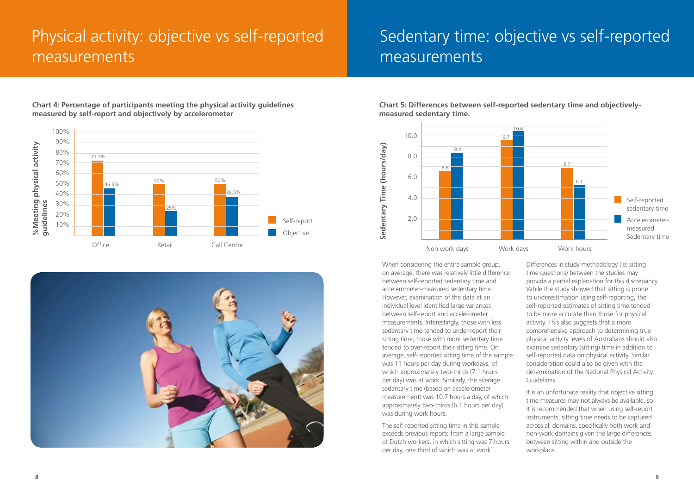## Physical activity: objective vs self-reported measurements

## Sedentary time: objective vs self-reported measurements



**Chart 4: Percentage of participants meeting the physical activity guidelines measured by self-report and objectively by accelerometer**



**Chart 5: Differences between self-reported sedentary time and objectivelymeasured sedentary time.**



When considering the entire sample group, on average, there was relatively little difference between self-reported sedentary time and accelerometer-measured sedentary time. However, examination of the data at an individual level identified large variances between self-report and accelerometer measurements. Interestingly, those with less sedentary time tended to under-report their sitting time; those with more sedentary time tended to over-report their sitting time. On average, self-reported sitting time of the sample was 11 hours per day during workdays, of which approximately two-thirds (7.1 hours per day) was at work. Similarly, the average sedentary time (based on accelerometer measurement) was 10.7 hours a day, of which approximately two-thirds (6.1 hours per day) was during work hours.

The self-reported sitting time in this sample exceeds previous reports from a large sample of Dutch workers, in which sitting was 7 hours per day, one third of which was at work<sup>11</sup>.

Differences in study methodology (ie: sitting time questions) between the studies may provide a partial explanation for this discrepancy. While the study showed that sitting is prone to underestimation using self-reporting, the self-reported estimates of sitting time tended to be more accurate than those for physical activity. This also suggests that a more comprehensive approach to determining true physical activity levels of Australians should also examine sedentary (sitting) time in addition to self-reported data on physical activity. Similar consideration could also be given with the determination of the National Physical Activity Guidelines.

It is an unfortunate reality that objective sitting time measures may not always be available, so it is recommended that when using self-report instruments, sitting time needs to be captured across all domains, specifically both work and non-work domains given the large differences between sitting within and outside the workplace.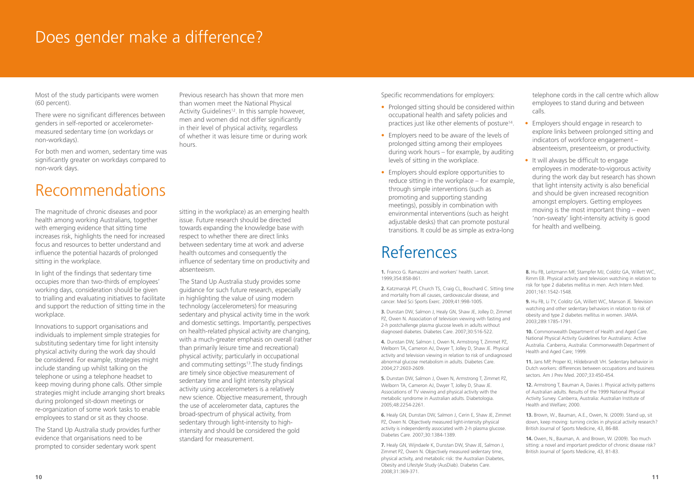### Does gender make a difference?

Most of the study participants were women (60 percent).

There were no significant differences between genders in self-reported or accelerometermeasured sedentary time (on workdays or non-workdays).

For both men and women, sedentary time was significantly greater on workdays compared to non-work days.

## Recommendations

The magnitude of chronic diseases and poor health among working Australians, together with emerging evidence that sitting time increases risk, highlights the need for increased focus and resources to better understand and influence the potential hazards of prolonged sitting in the workplace.

In light of the findings that sedentary time occupies more than two-thirds of employees' working days, consideration should be given to trialling and evaluating initiatives to facilitate and support the reduction of sitting time in the workplace.

Innovations to support organisations and individuals to implement simple strategies for substituting sedentary time for light intensity physical activity during the work day should be considered. For example, strategies might include standing up whilst talking on the telephone or using a telephone headset to keep moving during phone calls. Other simple strategies might include arranging short breaks during prolonged sit-down meetings or re-organization of some work tasks to enable employees to stand or sit as they choose.

The Stand Up Australia study provides further evidence that organisations need to be prompted to consider sedentary work spent

Previous research has shown that more men than women meet the National Physical Activity Guidelines<sup>12</sup>. In this sample however, men and women did not differ significantly in their level of physical activity, regardless of whether it was leisure time or during work hours.

sitting in the workplace) as an emerging health issue. Future research should be directed towards expanding the knowledge base with respect to whether there are direct links between sedentary time at work and adverse health outcomes and consequently the influence of sedentary time on productivity and absenteeism.

The Stand Up Australia study provides some guidance for such future research, especially in highlighting the value of using modern technology (accelerometers) for measuring sedentary and physical activity time in the work and domestic settings. Importantly, perspectives on health-related physical activity are changing, with a much-greater emphasis on overall (rather than primarily leisure time and recreational) physical activity; particularly in occupational and commuting settings<sup>13</sup>. The study findings are timely since objective measurement of sedentary time and light intensity physical activity using accelerometers is a relatively new science. Objective measurement, through the use of accelerometer data, captures the broad-spectrum of physical activity, from sedentary through light-intensity to highintensity and should be considered the gold standard for measurement.

Specific recommendations for employers:

- Prolonged sitting should be considered within occupational health and safety policies and practices just like other elements of posture<sup>14</sup>.
- Employers need to be aware of the levels of prolonged sitting among their employees during work hours – for example, by auditing levels of sitting in the workplace.
- Employers should explore opportunities to reduce sitting in the workplace – for example, through simple interventions (such as promoting and supporting standing meetings), possibly in combination with environmental interventions (such as height adjustable desks) that can promote postural transitions. It could be as simple as extra-long

### References

**1.** Franco G. Ramazzini and workers' health. Lancet. 1999;354:858-861.

**2.** Katzmarzyk PT, Church TS, Craig CL, Bouchard C. Sitting time and mortality from all causes, cardiovascular disease, and cancer. Med Sci Sports Exerc. 2009;41:998-1005.

**3.** Dunstan DW, Salmon J, Healy GN, Shaw JE, Jolley D, Zimmet PZ, Owen N. Association of television viewing with fasting and 2-h postchallenge plasma glucose levels in adults without diagnosed diabetes. Diabetes Care. 2007;30:516-522.

**4.** Dunstan DW, Salmon J, Owen N, Armstrong T, Zimmet PZ, Welborn TA, Cameron AJ, Dwyer T, Jolley D, Shaw JE. Physical activity and television viewing in relation to risk of undiagnosed abnormal glucose metabolism in adults. Diabetes Care. 2004;27:2603-2609.

**5.** Dunstan DW, Salmon J, Owen N, Armstrong T, Zimmet PZ, Welborn TA, Cameron AJ, Dwyer T, Jolley D, Shaw JE. Associations of TV viewing and physical activity with the metabolic syndrome in Australian adults. Diabetologia. 2005;48:2254-2261.

**6.** Healy GN, Dunstan DW, Salmon J, Cerin E, Shaw JE, Zimmet PZ, Owen N. Objectively measured light-intensity physical activity is independently associated with 2-h plasma glucose. Diabetes Care. 2007;30:1384-1389.

**7.** Healy GN, Wijndaele K, Dunstan DW, Shaw JE, Salmon J, Zimmet PZ, Owen N. Objectively measured sedentary time, physical activity, and metabolic risk: the Australian Diabetes, Obesity and Lifestyle Study (AusDiab). Diabetes Care. 2008;31:369-371.

telephone cords in the call centre which allow employees to stand during and between calls.

- Employers should engage in research to explore links between prolonged sitting and indicators of workforce engagement – absenteeism, presenteeism, or productivity.
- It will always be difficult to engage employees in moderate-to-vigorous activity during the work day but research has shown that light intensity activity is also beneficial and should be given increased recognition amongst employers. Getting employees moving is the most important thing – even 'non-sweaty' light-intensity activity is good for health and wellbeing.

**8.** Hu FB, Leitzmann MF, Stampfer MJ, Colditz GA, Willett WC, Rimm EB. Physical activity and television watching in relation to risk for type 2 diabetes mellitus in men. Arch Intern Med. 2001;161:1542-1548.

**9.** Hu FB, Li TY, Colditz GA, Willett WC, Manson JE. Television watching and other sedentary behaviors in relation to risk of obesity and type 2 diabetes mellitus in women. JAMA. 2003;289:1785-1791.

**10.** Commonwealth Department of Health and Aged Care. National Physical Activity Guidelines for Australians: Active Australia. Canberra, Australia: Commonwealth Department of Health and Aged Care; 1999.

**11.** Jans MP, Proper KI, Hildebrandt VH. Sedentary behavior in Dutch workers: differences between occupations and business sectors. Am J Prev Med. 2007;33:450-454.

**12.** Armstrong T, Bauman A, Davies J. Physical activity patterns of Australian adults. Results of the 1999 National Physical Activity Survey. Canberra, Australia: Australian Institute of Health and Welfare; 2000.

**13.** Brown, W., Bauman, A.E., Owen, N. (2009). Stand up, sit down, keep moving: turning circles in physical activity research? British Journal of Sports Medicine, 43, 86-88.

**14.** Owen, N., Bauman, A. and Brown, W. (2009). Too much sitting: a novel and important predictor of chronic disease risk? British Journal of Sports Medicine, 43, 81-83.